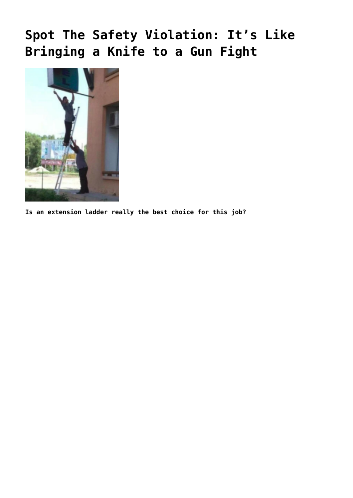## **[Spot The Safety Violation: It's Like](https://ohsinsider.com/spot-the-safety-violation-its-like-bringing-a-knife-to-a-gun-fight/) [Bringing a Knife to a Gun Fight](https://ohsinsider.com/spot-the-safety-violation-its-like-bringing-a-knife-to-a-gun-fight/)**



**Is an extension ladder really the best choice for this job?**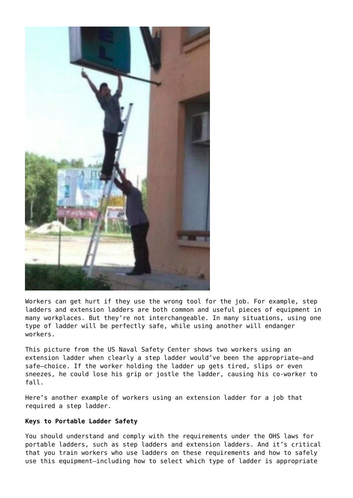

Workers can get hurt if they use the wrong tool for the job. For example, step ladders and extension ladders are both common and useful pieces of equipment in many workplaces. But they're not interchangeable. In many situations, using one type of ladder will be perfectly safe, while using another will endanger workers.

This picture from the US Naval Safety Center shows two workers using an extension ladder when clearly a step ladder would've been the appropriate—and safe—choice. If the worker holding the ladder up gets tired, slips or even sneezes, he could lose his grip or jostle the ladder, causing his co-worker to fall.

Here's [another example of workers using an extension ladder for a job that](https://ohsinsider.com/insider-top-stories/spot-the-safety-violation-human-stepladder-is-out-of-step-with-safety) [required a step ladder.](https://ohsinsider.com/insider-top-stories/spot-the-safety-violation-human-stepladder-is-out-of-step-with-safety)

## **Keys to Portable Ladder Safety**

You should understand and comply with the [requirements under the OHS laws for](https://ohsinsider.com/insider-top-stories/ladders-6-key-facts-about-complying-with-portable-ladder-requirements) [portable ladders,](https://ohsinsider.com/insider-top-stories/ladders-6-key-facts-about-complying-with-portable-ladder-requirements) such as [step ladders](https://ohsinsider.com/insider-top-stories/step-ladder-safety-checklist) and [extension ladders.](https://ohsinsider.com/search-by-index/inspections/extension-ladder-safety-checklist) And it's critical that you train workers who use ladders on these requirements and how to safely use this equipment—including how to select which type of ladder is appropriate